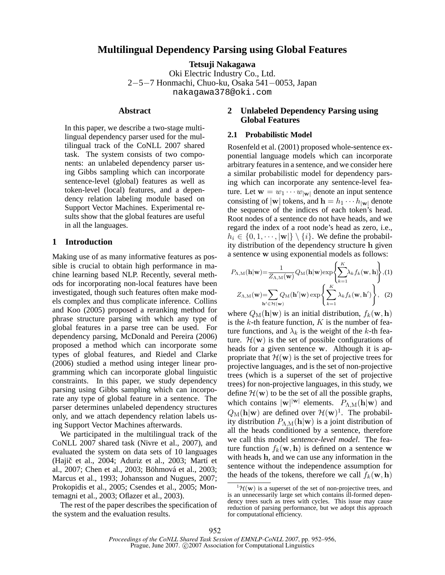# **Multilingual Dependency Parsing using Global Features**

**Tetsuji Nakagawa** Oki Electric Industry Co., Ltd. 2−5−7 Honmachi, Chuo-ku, Osaka 541−0053, Japan nakagawa378@oki.com

### **Abstract**

In this paper, we describe a two-stage multilingual dependency parser used for the multilingual track of the CoNLL 2007 shared task. The system consists of two components: an unlabeled dependency parser using Gibbs sampling which can incorporate sentence-level (global) features as well as token-level (local) features, and a dependency relation labeling module based on Support Vector Machines. Experimental results show that the global features are useful in all the languages.

# **1 Introduction**

Making use of as many informative features as possible is crucial to obtain high performance in machine learning based NLP. Recently, several methods for incorporating non-local features have been investigated, though such features often make models complex and thus complicate inference. Collins and Koo (2005) proposed a reranking method for phrase structure parsing with which any type of global features in a parse tree can be used. For dependency parsing, McDonald and Pereira (2006) proposed a method which can incorporate some types of global features, and Riedel and Clarke (2006) studied a method using integer linear programming which can incorporate global linguistic constraints. In this paper, we study dependency parsing using Gibbs sampling which can incorporate any type of global feature in a sentence. The parser determines unlabeled dependency structures only, and we attach dependency relation labels using Support Vector Machines afterwards.

We participated in the multilingual track of the CoNLL 2007 shared task (Nivre et al., 2007), and evaluated the system on data sets of 10 languages (Hajič et al., 2004; Aduriz et al., 2003; Martí et al., 2007; Chen et al., 2003; Böhmová et al., 2003; Marcus et al., 1993; Johansson and Nugues, 2007; Prokopidis et al., 2005; Csendes et al., 2005; Montemagni et al., 2003; Oflazer et al., 2003).

The rest of the paper describes the specification of the system and the evaluation results.

# **2 Unlabeled Dependency Parsing using Global Features**

# **2.1 Probabilistic Model**

Rosenfeld et al. (2001) proposed whole-sentence exponential language models which can incorporate arbitrary features in a sentence, and we consider here a similar probabilistic model for dependency parsing which can incorporate any sentence-level feature. Let  $\mathbf{w} = w_1 \cdots w_{|\mathbf{w}|}$  denote an input sentence consisting of  $|\mathbf{w}|$  tokens, and  $\mathbf{h} = h_1 \cdots h_{|\mathbf{w}|}$  denote the sequence of the indices of each token's head. Root nodes of a sentence do not have heads, and we regard the index of a root node's head as zero, i.e.,  $h_i \in \{0, 1, \dots, |\mathbf{w}|\} \setminus \{i\}.$  We define the probability distribution of the dependency structure h given a sentence w using exponential models as follows:

$$
P_{\Lambda,M}(\mathbf{h}|\mathbf{w}) = \frac{1}{Z_{\Lambda,M}(\mathbf{w})} Q_M(\mathbf{h}|\mathbf{w}) \exp\left\{\sum_{k=1}^K \lambda_k f_k(\mathbf{w}, \mathbf{h})\right\}, (1)
$$

$$
Z_{\Lambda,M}(\mathbf{w}) = \sum_{\mathbf{h}' \in \mathcal{H}(\mathbf{w})} Q_M(\mathbf{h}'|\mathbf{w}) \exp\left\{\sum_{k=1}^K \lambda_k f_k(\mathbf{w}, \mathbf{h}')\right\}, (2)
$$

where  $Q_M(h|\mathbf{w})$  is an initial distribution,  $f_k(\mathbf{w}, \mathbf{h})$ is the  $k$ -th feature function,  $K$  is the number of feature functions, and  $\lambda_k$  is the weight of the k-th feature.  $\mathcal{H}(\mathbf{w})$  is the set of possible configurations of heads for a given sentence w. Although it is appropriate that  $\mathcal{H}(\mathbf{w})$  is the set of projective trees for projective languages, and is the set of non-projective trees (which is a superset of the set of projective trees) for non-projective languages, in this study, we define  $\mathcal{H}(\mathbf{w})$  to be the set of all the possible graphs, which contains  $|\mathbf{w}|^{|\mathbf{w}|}$  elements.  $P_{\Lambda,\text{M}}(\mathbf{h}|\mathbf{w})$  and  $Q_M(h|\mathbf{w})$  are defined over  $\mathcal{H}(\mathbf{w})^1$ . The probability distribution  $P_{\Lambda,\mathrm{M}}(\mathbf{h}|\mathbf{w})$  is a joint distribution of all the heads conditioned by a sentence, therefore we call this model *sentence-level model*. The feature function  $f_k(\mathbf{w}, \mathbf{h})$  is defined on a sentence w with heads h, and we can use any information in the sentence without the independence assumption for the heads of the tokens, therefore we call  $f_k(\mathbf{w}, \mathbf{h})$ 

 ${}^{1}\mathcal{H}(\mathbf{w})$  is a superset of the set of non-projective trees, and is an unnecessarily large set which contains ill-formed dependency trees such as trees with cycles. This issue may cause reduction of parsing performance, but we adopt this approach for computational efficiency.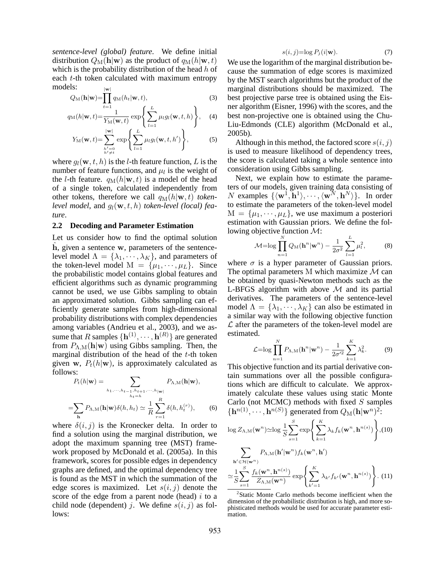*sentence-level (global) feature*. We define initial distribution  $Q_M(\mathbf{h}|\mathbf{w})$  as the product of  $q_M(h|\mathbf{w}, t)$ which is the probability distribution of the head  $h$  of each t-th token calculated with maximum entropy models: |<br>| w/

$$
Q_{\mathbf{M}}(\mathbf{h}|\mathbf{w}) = \prod_{t=1}^{|\mathbf{w}|} q_{\mathbf{M}}(h_t|\mathbf{w}, t),
$$
\n(3)

$$
q_{\text{M}}(h|\mathbf{w},t) = \frac{1}{Y_{\text{M}}(\mathbf{w},t)} \exp\left\{\sum_{l=1}^{L} \mu_l g_l(\mathbf{w},t,h)\right\}, \quad (4)
$$

$$
Y_{\mathrm{M}}(\mathbf{w},t)=\sum_{\substack{h'=0\\h'\neq t}}^{\mathbf{|w|}}\exp\left\{\sum_{l=1}^{L}\mu_{l}g_{l}(\mathbf{w},t,h')\right\},\tag{5}
$$

where  $g_l(\mathbf{w}, t, h)$  is the *l*-th feature function, *L* is the number of feature functions, and  $\mu_l$  is the weight of the *l*-th feature.  $q_M(h|\mathbf{w}, t)$  is a model of the head of a single token, calculated independently from other tokens, therefore we call  $q_M(h|\mathbf{w}, t)$  *token*level model, and  $g_l(\mathbf{w}, t, h)$  *token-level* (local) fea*ture*.

#### **2.2 Decoding and Parameter Estimation**

Let us consider how to find the optimal solution  $h$ , given a sentence  $w$ , parameters of the sentencelevel model  $\Lambda = {\lambda_1, \dots, \lambda_K}$ , and parameters of the token-level model  $M = {\mu_1, \cdots, \mu_L}$ . Since the probabilistic model contains global features and efficient algorithms such as dynamic programming cannot be used, we use Gibbs sampling to obtain an approximated solution. Gibbs sampling can efficiently generate samples from high-dimensional probability distributions with complex dependencies among variables (Andrieu et al., 2003), and we assume that R samples  $\{h^{(1)}, \cdots, h^{(R)}\}$  are generated from  $P_{\Lambda,M}(\mathbf{h}|\mathbf{w})$  using Gibbs sampling. Then, the marginal distribution of the head of the  $t$ -th token given w,  $P_t(h|\mathbf{w})$ , is approximately calculated as follows:

$$
WSS:\n
$$
P_t(h|\mathbf{w}) = \sum_{h_1, \dots, h_{t-1}, h_{t+1}, \dots, h_{|\mathbf{w}|} \atop h_t = h} P_{\Lambda, M}(\mathbf{h}|\mathbf{w}),
$$
\n
$$
= \sum_{\mathbf{h}} P_{\Lambda, M}(\mathbf{h}|\mathbf{w}) \delta(h, h_t) \simeq \frac{1}{R} \sum_{r=1}^{R} \delta(h, h_t^{(r)}),
$$
\n(6)
$$

where  $\delta(i, j)$  is the Kronecker delta. In order to find a solution using the marginal distribution, we adopt the maximum spanning tree (MST) framework proposed by McDonald et al. (2005a). In this framework, scores for possible edges in dependency graphs are defined, and the optimal dependency tree is found as the MST in which the summation of the edge scores is maximized. Let  $s(i, j)$  denote the score of the edge from a parent node (head)  $i$  to a child node (dependent) j. We define  $s(i, j)$  as follows:

$$
s(i,j) = \log P_j(i|\mathbf{w}).\tag{7}
$$

We use the logarithm of the marginal distribution because the summation of edge scores is maximized by the MST search algorithms but the product of the marginal distributions should be maximized. The best projective parse tree is obtained using the Eisner algorithm (Eisner, 1996) with the scores, and the best non-projective one is obtained using the Chu-Liu-Edmonds (CLE) algorithm (McDonald et al., 2005b).

Although in this method, the factored score  $s(i, j)$ is used to measure likelihood of dependency trees, the score is calculated taking a whole sentence into consideration using Gibbs sampling.

Next, we explain how to estimate the parameters of our models, given training data consisting of N examples  $\{\langle \mathbf{w}^1, \mathbf{h}^1 \rangle, \cdots, \langle \mathbf{w}^N, \mathbf{h}^N \rangle\}$ . In order to estimate the parameters of the token-level model  $M = {\mu_1, \cdots, \mu_L}$ , we use maximum a posteriori estimation with Gaussian priors. We define the following objective function  $\mathcal{M}$ :

$$
\mathcal{M} = \log \prod_{n=1}^{N} Q_{\text{M}}(\mathbf{h}^{n}|\mathbf{w}^{n}) - \frac{1}{2\sigma^{2}} \sum_{l=1}^{L} \mu_{l}^{2},
$$
 (8)

where  $\sigma$  is a hyper parameter of Gaussian priors. The optimal parameters M which maximize  $M$  can be obtained by quasi-Newton methods such as the L-BFGS algorithm with above  $M$  and its partial derivatives. The parameters of the sentence-level model  $\Lambda = {\lambda_1, \dots, \lambda_K}$  can also be estimated in a similar way with the following objective function  $\mathcal L$  after the parameters of the token-level model are estimated.

$$
\mathcal{L} = \log \prod_{n=1}^{N} P_{\Lambda, \mathcal{M}}(\mathbf{h}^n | \mathbf{w}^n) - \frac{1}{2\sigma'^2} \sum_{k=1}^{K} \lambda_k^2.
$$
 (9)

This objective function and its partial derivative contain summations over all the possible configurations which are difficult to calculate. We approximately calculate these values using static Monte Carlo (not MCMC) methods with fixed  $S$  samples  ${\bf h}^{n(1)}, \cdots, {\bf h}^{n(S)}$  generated from  $Q_M({\bf h} | {\bf w}^n)^2$ :

$$
\log Z_{\Lambda,\mathrm{M}}(\mathbf{w}^n) \simeq \log \frac{1}{S} \sum_{s=1}^S \exp \left\{ \sum_{k=1}^K \lambda_k f_k(\mathbf{w}^n, \mathbf{h}^{n(s)}) \right\}, (10)
$$

$$
\sum_{\mathbf{h}' \in \mathcal{H}(\mathbf{w}^n)} P_{\Lambda,\mathrm{M}}(\mathbf{h}'|\mathbf{w}^n) f_k(\mathbf{w}^n, \mathbf{h}')
$$

$$
\simeq \frac{1}{S} \sum_{s=1}^S \frac{f_k(\mathbf{w}^n, \mathbf{h}^{n(s)})}{Z_{\Lambda,\mathrm{M}}(\mathbf{w}^n)} \exp \left\{ \sum_{k'=1}^K \lambda_{k'} f_{k'}(\mathbf{w}^n, \mathbf{h}^{n(s)}) \right\}. (11)
$$

<sup>&</sup>lt;sup>2</sup> Static Monte Carlo methods become inefficient when the dimension of the probabilistic distribution is high, and more sophisticated methods would be used for accurate parameter estimation.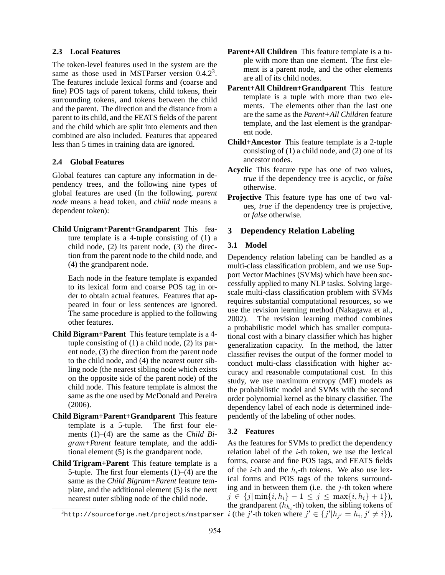#### **2.3 Local Features**

The token-level features used in the system are the same as those used in MSTParser version  $0.4.2<sup>3</sup>$ . The features include lexical forms and (coarse and fine) POS tags of parent tokens, child tokens, their surrounding tokens, and tokens between the child and the parent. The direction and the distance from a parent to its child, and the FEATS fields of the parent and the child which are split into elements and then combined are also included. Features that appeared less than 5 times in training data are ignored.

#### **2.4 Global Features**

Global features can capture any information in dependency trees, and the following nine types of global features are used (In the following, *parent node* means a head token, and *child node* means a dependent token):

**Child Unigram+Parent+Grandparent** This feature template is a 4-tuple consisting of (1) a child node, (2) its parent node, (3) the direction from the parent node to the child node, and (4) the grandparent node.

Each node in the feature template is expanded to its lexical form and coarse POS tag in order to obtain actual features. Features that appeared in four or less sentences are ignored. The same procedure is applied to the following other features.

- **Child Bigram+Parent** This feature template is a 4 tuple consisting of (1) a child node, (2) its parent node, (3) the direction from the parent node to the child node, and (4) the nearest outer sibling node (the nearest sibling node which exists on the opposite side of the parent node) of the child node. This feature template is almost the same as the one used by McDonald and Pereira (2006).
- **Child Bigram+Parent+Grandparent** This feature template is a 5-tuple. The first four elements (1)–(4) are the same as the *Child Bigram+Parent* feature template, and the additional element (5) is the grandparent node.
- **Child Trigram+Parent** This feature template is a 5-tuple. The first four elements  $(1)$ – $(4)$  are the same as the *Child Bigram+Parent* feature template, and the additional element (5) is the next nearest outer sibling node of the child node.
- **Parent+All Children** This feature template is a tuple with more than one element. The first element is a parent node, and the other elements are all of its child nodes.
- **Parent+All Children+Grandparent** This feature template is a tuple with more than two elements. The elements other than the last one are the same as the *Parent+All Children* feature template, and the last element is the grandparent node.
- **Child+Ancestor** This feature template is a 2-tuple consisting of (1) a child node, and (2) one of its ancestor nodes.
- **Acyclic** This feature type has one of two values, *true* if the dependency tree is acyclic, or *false* otherwise.
- **Projective** This feature type has one of two values, *true* if the dependency tree is projective, or *false* otherwise.

# **3 Dependency Relation Labeling**

## **3.1 Model**

Dependency relation labeling can be handled as a multi-class classification problem, and we use Support Vector Machines (SVMs) which have been successfully applied to many NLP tasks. Solving largescale multi-class classification problem with SVMs requires substantial computational resources, so we use the revision learning method (Nakagawa et al., 2002). The revision learning method combines a probabilistic model which has smaller computational cost with a binary classifier which has higher generalization capacity. In the method, the latter classifier revises the output of the former model to conduct multi-class classification with higher accuracy and reasonable computational cost. In this study, we use maximum entropy (ME) models as the probabilistic model and SVMs with the second order polynomial kernel as the binary classifier. The dependency label of each node is determined independently of the labeling of other nodes.

#### **3.2 Features**

 $\hat{j}$ http://sourceforge.net/projects/mstparser  $i$  (the  $j'$ -th token where  $j'\in \{j'|h_{j'}=h_i,j'\neq i\}),$ As the features for SVMs to predict the dependency relation label of the  $i$ -th token, we use the lexical forms, coarse and fine POS tags, and FEATS fields of the *i*-th and the  $h_i$ -th tokens. We also use lexical forms and POS tags of the tokens surrounding and in between them (i.e. the  $j$ -th token where  $j \in \{j | \min\{i, h_i\} - 1 \leq j \leq \max\{i, h_i\} + 1\},$ the grandparent  $(h_{h_i}$ -th) token, the sibling tokens of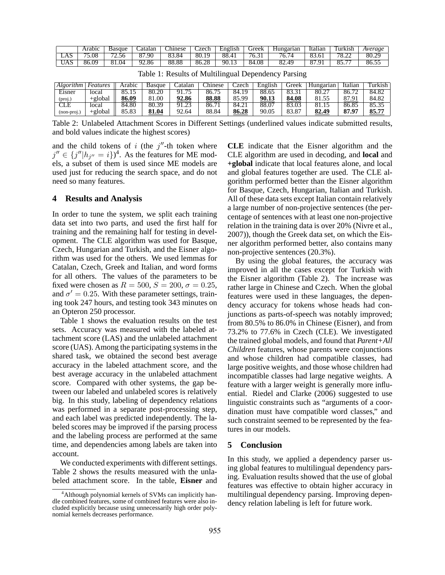|     | rabic | Basque        | latalar    | hinese            | '70ck                  | English        | $rr \triangle \triangle V$ | ungarian | Italıan       | I urkısh                                                               | Average                 |
|-----|-------|---------------|------------|-------------------|------------------------|----------------|----------------------------|----------|---------------|------------------------------------------------------------------------|-------------------------|
| LAJ | '5.08 | $-1$<br>'2.56 | 87.90      | ^^                | 80.1<br>L              | oo<br>റാം.     | '0.                        | 0.7      | v., v.        | $\overline{\phantom{a}}$<br>$\overline{\phantom{a}}$<br>$\sim$<br>0.44 | 80.2<br>$\overline{20}$ |
| UAJ | 86.09 | 114<br>01.V   | 12.86<br>u | $\alpha$<br>00.OC | $\Delta\Omega$<br>86.Z | ۹ſ<br>$\cdots$ | 84.08                      | 62.49    | Ωî<br>$\circ$ | $-$<br>                                                                | 86.5                    |

| Algorithm   Features |            | Arabic | Basque | Catalan | hinese. | Czech | English | Greek | Hungarian | Italian | Furkish |
|----------------------|------------|--------|--------|---------|---------|-------|---------|-------|-----------|---------|---------|
| Eisner               | local      |        | 80.20  | 91.75   | 86.75   | 84.19 | 88.65   | 83.31 | 80.27     | 86.72   | 84.82   |
| (proj.)              | $+$ global | 86.09  | .00.   | 92.86   | 88.88   | 85.99 | 90.13   | 84.08 | 81.55     | 87.91   | 84.82   |
| CLE                  | local      | 84.80  | 80.39  | 91.23   | 86.71   | 84.21 | 88.07   | 83.03 | 81.15     | 86.85   | 85.35   |
| $(non-proj.)$        | $+$ global | 85.83  | 81.04  | 92.64   | 88.84   | 86.28 | 90.05   | 83.87 | 82.49     | 87.97   | 85.77   |

Table 1: Results of Multilingual Dependency Parsing

Table 2: Unlabeled Attachment Scores in Different Settings (underlined values indicate submitted results, and bold values indicate the highest scores)

and the child tokens of i (the  $j''$ -th token where  $j'' \in \{j''|h_{j''}=i\}^4$ . As the features for ME models, a subset of them is used since ME models are used just for reducing the search space, and do not need so many features.

### **4 Results and Analysis**

In order to tune the system, we split each training data set into two parts, and used the first half for training and the remaining half for testing in development. The CLE algorithm was used for Basque, Czech, Hungarian and Turkish, and the Eisner algorithm was used for the others. We used lemmas for Catalan, Czech, Greek and Italian, and word forms for all others. The values of the parameters to be fixed were chosen as  $R = 500$ ,  $S = 200$ ,  $\sigma = 0.25$ , and  $\sigma' = 0.25$ . With these parameter settings, training took 247 hours, and testing took 343 minutes on an Opteron 250 processor.

Table 1 shows the evaluation results on the test sets. Accuracy was measured with the labeled attachment score (LAS) and the unlabeled attachment score (UAS). Among the participating systems in the shared task, we obtained the second best average accuracy in the labeled attachment score, and the best average accuracy in the unlabeled attachment score. Compared with other systems, the gap between our labeled and unlabeled scores is relatively big. In this study, labeling of dependency relations was performed in a separate post-processing step, and each label was predicted independently. The labeled scores may be improved if the parsing process and the labeling process are performed at the same time, and dependencies among labels are taken into account.

We conducted experiments with different settings. Table 2 shows the results measured with the unlabeled attachment score. In the table, **Eisner** and **CLE** indicate that the Eisner algorithm and the CLE algorithm are used in decoding, and **local** and **+global** indicate that local features alone, and local and global features together are used. The CLE algorithm performed better than the Eisner algorithm for Basque, Czech, Hungarian, Italian and Turkish. All of these data sets except Italian contain relatively a large number of non-projective sentences (the percentage of sentences with at least one non-projective relation in the training data is over 20% (Nivre et al., 2007)), though the Greek data set, on which the Eisner algorithm performed better, also contains many non-projective sentences (20.3%).

By using the global features, the accuracy was improved in all the cases except for Turkish with the Eisner algorithm (Table 2). The increase was rather large in Chinese and Czech. When the global features were used in these languages, the dependency accuracy for tokens whose heads had conjunctions as parts-of-speech was notably improved; from 80.5% to 86.0% in Chinese (Eisner), and from 73.2% to 77.6% in Czech (CLE). We investigated the trained global models, and found that *Parent+All Children* features, whose parents were conjunctions and whose children had compatible classes, had large positive weights, and those whose children had incompatible classes had large negative weights. A feature with a larger weight is generally more influential. Riedel and Clarke (2006) suggested to use linguistic constraints such as "arguments of a coordination must have compatible word classes," and such constraint seemed to be represented by the features in our models.

## **5 Conclusion**

In this study, we applied a dependency parser using global features to multilingual dependency parsing. Evaluation results showed that the use of global features was effective to obtain higher accuracy in multilingual dependency parsing. Improving dependency relation labeling is left for future work.

<sup>&</sup>lt;sup>4</sup>Although polynomial kernels of SVMs can implicitly handle combined features, some of combined features were also included explicitly because using unnecessarily high order polynomial kernels decreases performance.